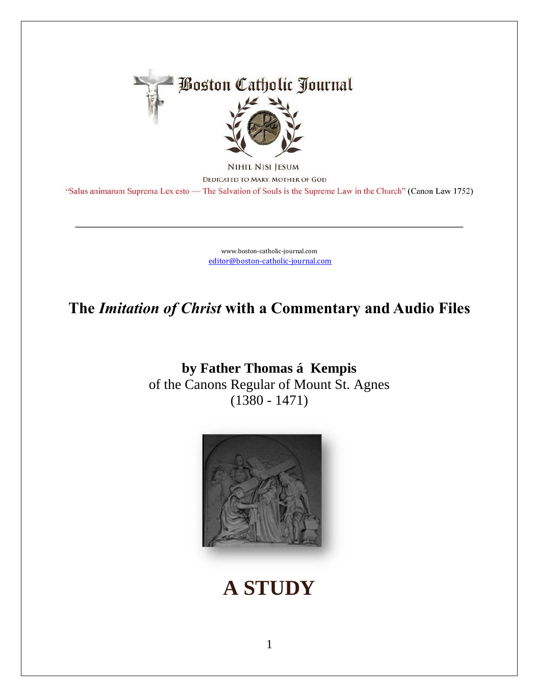

NIHIL NISI JESUM DEDICATED TO MARY, MOTHER OF GOD "Salus animarum Suprema Lex esto - The Salvation of Souls is the Supreme Law in the Church" (Canon Law 1752)

> [www.boston-catholic-journal.com](http://www.boston-catholic-journal.com/) [editor@boston-catholic-journal.com](mailto:editor@boston-catholic-journal.com)

\_\_\_\_\_\_\_\_\_\_\_\_\_\_\_\_\_\_\_\_\_\_\_\_\_\_\_\_\_\_\_\_\_\_\_\_\_\_\_\_\_\_\_\_\_\_\_\_\_\_\_\_\_\_\_\_\_\_\_\_\_\_\_

## **The** *Imitation of Christ* **with a Commentary and Audio Files**

#### **by Father Thomas á Kempis** of the Canons Regular of Mount St. Agnes (1380 - 1471)



# **A STUDY**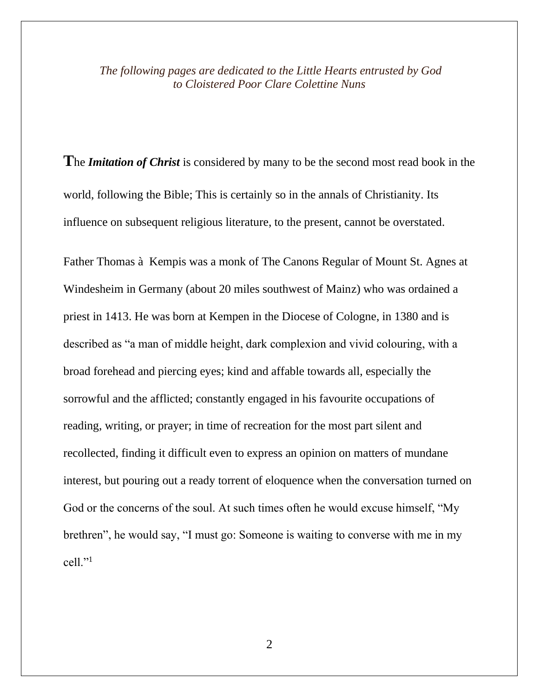*The following pages are dedicated to the Little Hearts entrusted by God to Cloistered Poor Clare Colettine Nuns*

**T**he *Imitation of Christ* is considered by many to be the second most read book in the world, following the Bible; This is certainly so in the annals of Christianity. Its influence on subsequent religious literature, to the present, cannot be overstated.

Father Thomas à Kempis was a monk of The Canons Regular of Mount St. Agnes at Windesheim in Germany (about 20 miles southwest of Mainz) who was ordained a priest in 1413. He was born at Kempen in the Diocese of Cologne, in 1380 and is described as "a man of middle height, dark complexion and vivid colouring, with a broad forehead and piercing eyes; kind and affable towards all, especially the sorrowful and the afflicted; constantly engaged in his favourite occupations of reading, writing, or prayer; in time of recreation for the most part silent and recollected, finding it difficult even to express an opinion on matters of mundane interest, but pouring out a ready torrent of eloquence when the conversation turned on God or the concerns of the soul. At such times often he would excuse himself, "My brethren", he would say, "I must go: Someone is waiting to converse with me in my  $cell.^{91}$ 

2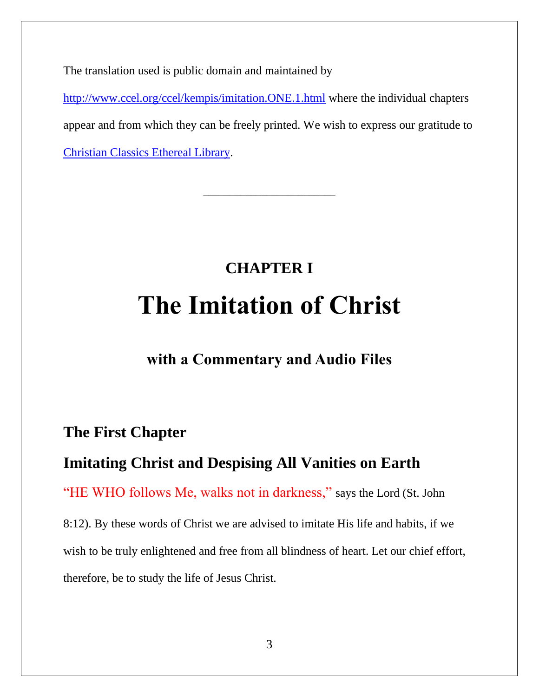The translation used is public domain and maintained by

<http://www.ccel.org/ccel/kempis/imitation.ONE.1.html> where the individual chapters appear and from which they can be freely printed. We wish to express our gratitude to [Christian Classics Ethereal Library.](http://www.ccel.org/)

\_\_\_\_\_\_\_\_\_\_\_\_\_\_\_\_\_\_\_\_\_\_\_\_\_

# **CHAPTER I The Imitation of Christ**

**with a Commentary and Audio Files**

#### **The First Chapter**

#### **Imitating Christ and Despising All Vanities on Earth**

"HE WHO follows Me, walks not in darkness," says the Lord (St. John

8:12). By these words of Christ we are advised to imitate His life and habits, if we wish to be truly enlightened and free from all blindness of heart. Let our chief effort, therefore, be to study the life of Jesus Christ.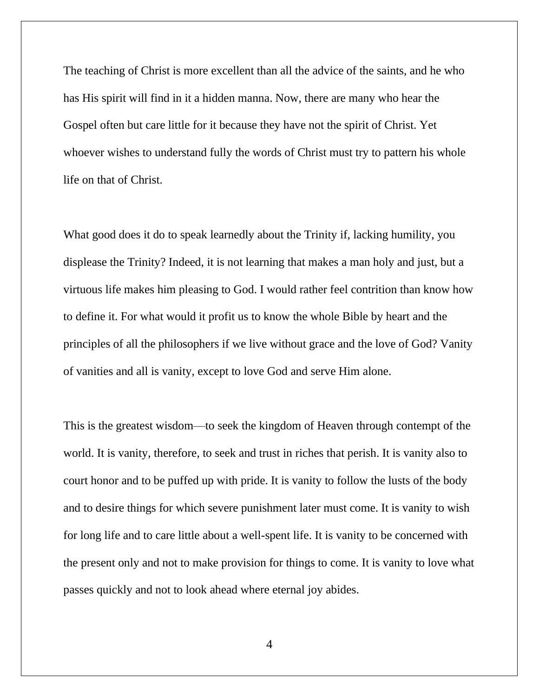The teaching of Christ is more excellent than all the advice of the saints, and he who has His spirit will find in it a hidden manna. Now, there are many who hear the Gospel often but care little for it because they have not the spirit of Christ. Yet whoever wishes to understand fully the words of Christ must try to pattern his whole life on that of Christ.

What good does it do to speak learnedly about the Trinity if, lacking humility, you displease the Trinity? Indeed, it is not learning that makes a man holy and just, but a virtuous life makes him pleasing to God. I would rather feel contrition than know how to define it. For what would it profit us to know the whole Bible by heart and the principles of all the philosophers if we live without grace and the love of God? Vanity of vanities and all is vanity, except to love God and serve Him alone.

This is the greatest wisdom—to seek the kingdom of Heaven through contempt of the world. It is vanity, therefore, to seek and trust in riches that perish. It is vanity also to court honor and to be puffed up with pride. It is vanity to follow the lusts of the body and to desire things for which severe punishment later must come. It is vanity to wish for long life and to care little about a well-spent life. It is vanity to be concerned with the present only and not to make provision for things to come. It is vanity to love what passes quickly and not to look ahead where eternal joy abides.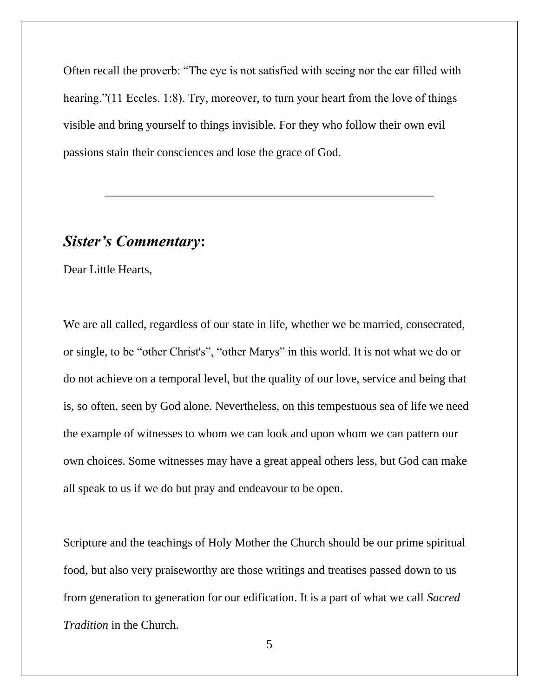Often recall the proverb: "The eye is not satisfied with seeing nor the ear filled with hearing."(11 Eccles. 1:8). Try, moreover, to turn your heart from the love of things visible and bring yourself to things invisible. For they who follow their own evil passions stain their consciences and lose the grace of God.

#### *Sister's Commentary***:**

Dear Little Hearts,

We are all called, regardless of our state in life, whether we be married, consecrated, or single, to be "other Christ's", "other Marys" in this world. It is not what we do or do not achieve on a temporal level, but the quality of our love, service and being that is, so often, seen by God alone. Nevertheless, on this tempestuous sea of life we need the example of witnesses to whom we can look and upon whom we can pattern our own choices. Some witnesses may have a great appeal others less, but God can make all speak to us if we do but pray and endeavour to be open.

Scripture and the teachings of Holy Mother the Church should be our prime spiritual food, but also very praiseworthy are those writings and treatises passed down to us from generation to generation for our edification. It is a part of what we call *Sacred Tradition* in the Church.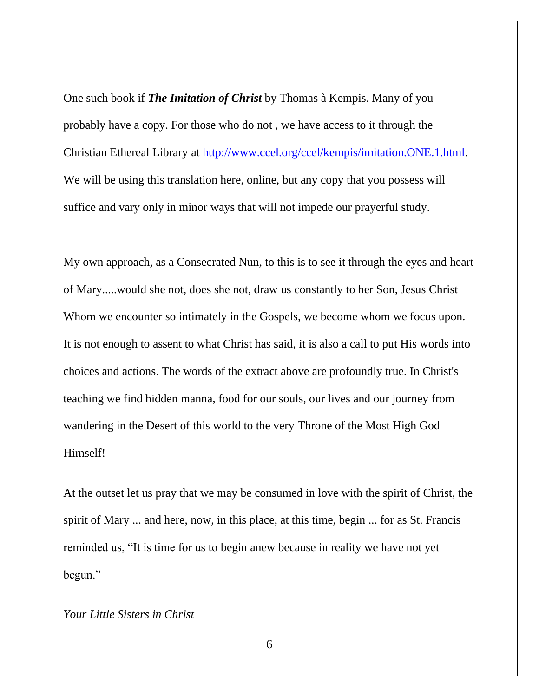One such book if *The Imitation of Christ* by Thomas à Kempis. Many of you probably have a copy. For those who do not , we have access to it through the Christian Ethereal Library at [http://www.ccel.org/ccel/kempis/imitation.ONE.1.html.](http://www.ccel.org/ccel/kempis/imitation.ONE.1.html) We will be using this translation here, online, but any copy that you possess will suffice and vary only in minor ways that will not impede our prayerful study.

My own approach, as a Consecrated Nun, to this is to see it through the eyes and heart of Mary.....would she not, does she not, draw us constantly to her Son, Jesus Christ Whom we encounter so intimately in the Gospels, we become whom we focus upon. It is not enough to assent to what Christ has said, it is also a call to put His words into choices and actions. The words of the extract above are profoundly true. In Christ's teaching we find hidden manna, food for our souls, our lives and our journey from wandering in the Desert of this world to the very Throne of the Most High God Himself!

At the outset let us pray that we may be consumed in love with the spirit of Christ, the spirit of Mary ... and here, now, in this place, at this time, begin ... for as St. Francis reminded us, "It is time for us to begin anew because in reality we have not yet begun."

*Your Little Sisters in Christ*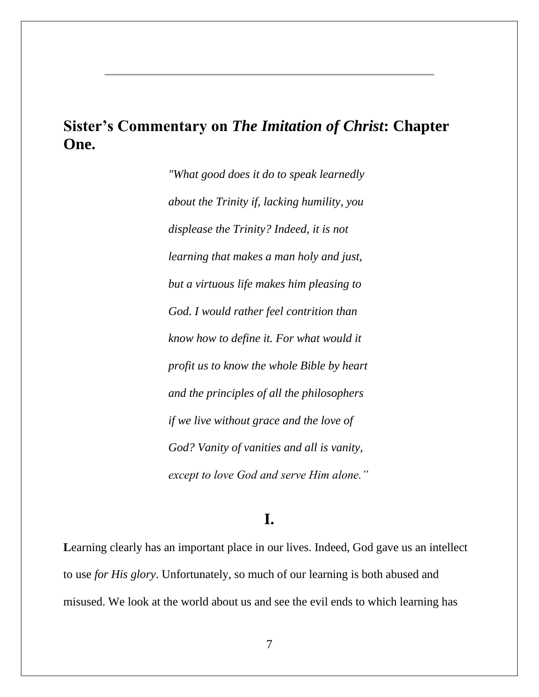### **Sister's Commentary on** *The Imitation of Christ***: Chapter One.**

*"What good does it do to speak learnedly about the Trinity if, lacking humility, you displease the Trinity? Indeed, it is not learning that makes a man holy and just, but a virtuous life makes him pleasing to God. I would rather feel contrition than know how to define it. For what would it profit us to know the whole Bible by heart and the principles of all the philosophers if we live without grace and the love of God? Vanity of vanities and all is vanity, except to love God and serve Him alone."*

#### **I.**

Learning clearly has an important place in our lives. Indeed, God gave us an intellect to use *for His glory*. Unfortunately, so much of our learning is both abused and misused. We look at the world about us and see the evil ends to which learning has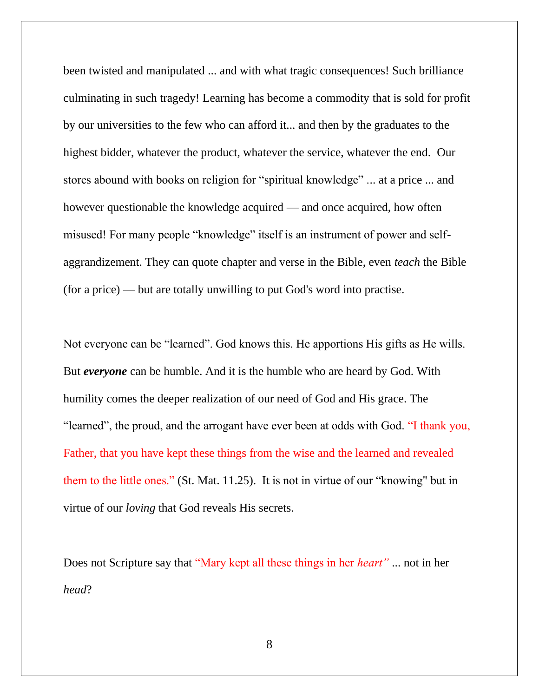been twisted and manipulated ... and with what tragic consequences! Such brilliance culminating in such tragedy! Learning has become a commodity that is sold for profit by our universities to the few who can afford it... and then by the graduates to the highest bidder, whatever the product, whatever the service, whatever the end. Our stores abound with books on religion for "spiritual knowledge" ... at a price ... and however questionable the knowledge acquired — and once acquired, how often misused! For many people "knowledge" itself is an instrument of power and selfaggrandizement. They can quote chapter and verse in the Bible, even *teach* the Bible (for a price) — but are totally unwilling to put God's word into practise.

Not everyone can be "learned". God knows this. He apportions His gifts as He wills. But *everyone* can be humble. And it is the humble who are heard by God. With humility comes the deeper realization of our need of God and His grace. The "learned", the proud, and the arrogant have ever been at odds with God. "I thank you, Father, that you have kept these things from the wise and the learned and revealed them to the little ones." (St. Mat. 11.25). It is not in virtue of our "knowing" but in virtue of our *loving* that God reveals His secrets.

Does not Scripture say that "Mary kept all these things in her *heart"* ... not in her *head*?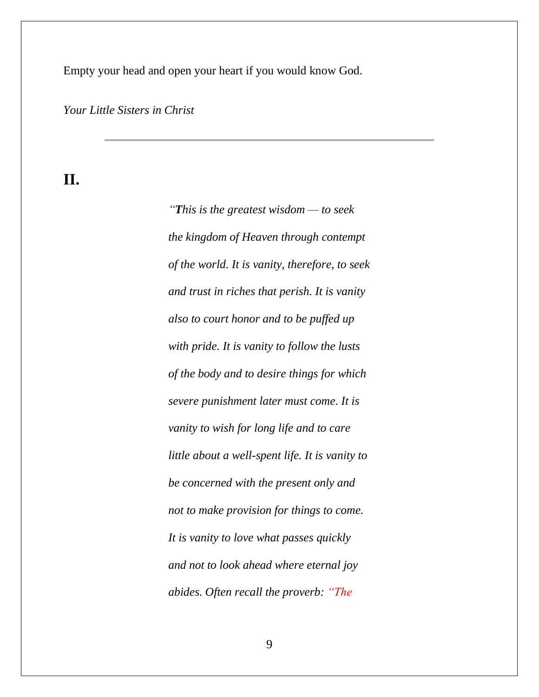Empty your head and open your heart if you would know God.

*Your Little Sisters in Christ*

#### **II.**

*"This is the greatest wisdom — to seek the kingdom of Heaven through contempt of the world. It is vanity, therefore, to seek and trust in riches that perish. It is vanity also to court honor and to be puffed up with pride. It is vanity to follow the lusts of the body and to desire things for which severe punishment later must come. It is vanity to wish for long life and to care little about a well-spent life. It is vanity to be concerned with the present only and not to make provision for things to come. It is vanity to love what passes quickly and not to look ahead where eternal joy abides. Often recall the proverb: "The* 

9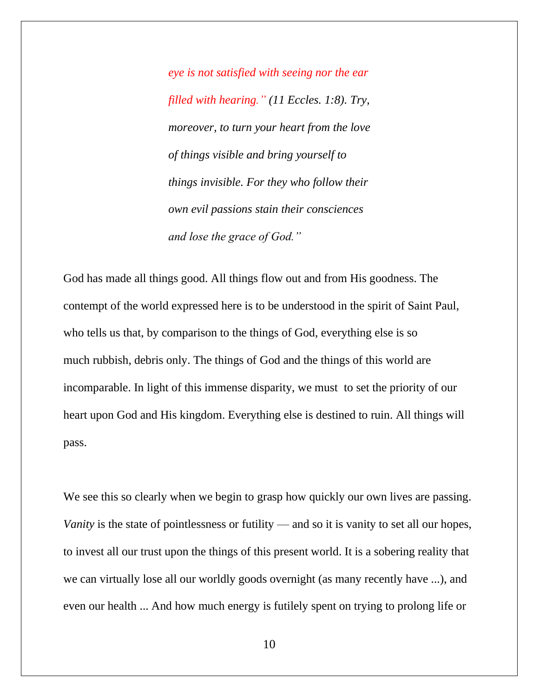*eye is not satisfied with seeing nor the ear filled with hearing." (11 Eccles. 1:8). Try, moreover, to turn your heart from the love of things visible and bring yourself to things invisible. For they who follow their own evil passions stain their consciences and lose the grace of God."*

God has made all things good. All things flow out and from His goodness. The contempt of the world expressed here is to be understood in the spirit of Saint Paul, who tells us that, by comparison to the things of God, everything else is so much rubbish, debris only. The things of God and the things of this world are incomparable. In light of this immense disparity, we must to set the priority of our heart upon God and His kingdom. Everything else is destined to ruin. All things will pass.

We see this so clearly when we begin to grasp how quickly our own lives are passing. *Vanity* is the state of pointlessness or futility — and so it is vanity to set all our hopes, to invest all our trust upon the things of this present world. It is a sobering reality that we can virtually lose all our worldly goods overnight (as many recently have ...), and even our health ... And how much energy is futilely spent on trying to prolong life or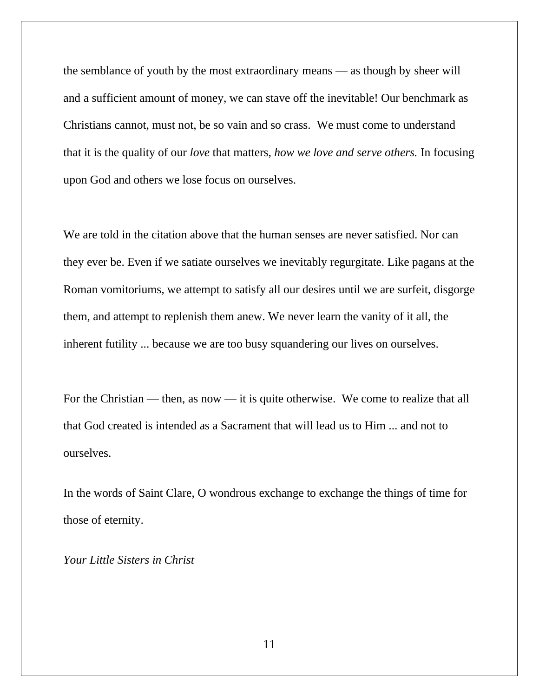the semblance of youth by the most extraordinary means — as though by sheer will and a sufficient amount of money, we can stave off the inevitable! Our benchmark as Christians cannot, must not, be so vain and so crass. We must come to understand that it is the quality of our *love* that matters, *how we love and serve others.* In focusing upon God and others we lose focus on ourselves.

We are told in the citation above that the human senses are never satisfied. Nor can they ever be. Even if we satiate ourselves we inevitably regurgitate. Like pagans at the Roman vomitoriums, we attempt to satisfy all our desires until we are surfeit, disgorge them, and attempt to replenish them anew. We never learn the vanity of it all, the inherent futility ... because we are too busy squandering our lives on ourselves.

For the Christian — then, as now — it is quite otherwise. We come to realize that all that God created is intended as a Sacrament that will lead us to Him ... and not to ourselves.

In the words of Saint Clare, O wondrous exchange to exchange the things of time for those of eternity.

*Your Little Sisters in Christ*